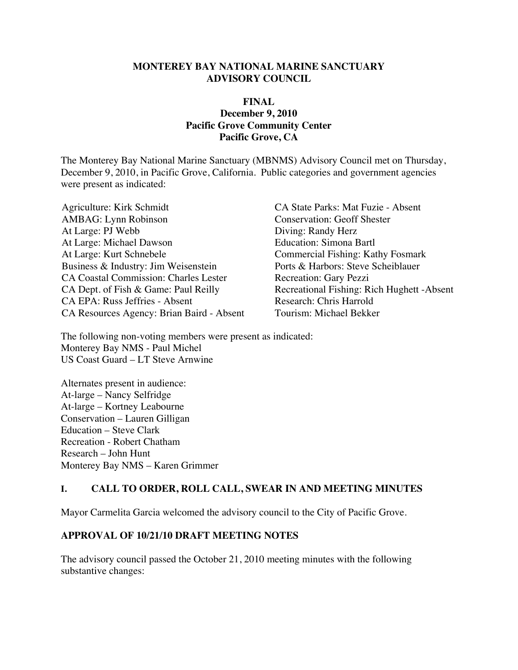#### **MONTEREY BAY NATIONAL MARINE SANCTUARY ADVISORY COUNCIL**

#### **FINAL December 9, 2010 Pacific Grove Community Center Pacific Grove, CA**

The Monterey Bay National Marine Sanctuary (MBNMS) Advisory Council met on Thursday, December 9, 2010, in Pacific Grove, California. Public categories and government agencies were present as indicated:

Agriculture: Kirk Schmidt CA State Parks: Mat Fuzie - Absent AMBAG: Lynn Robinson Conservation: Geoff Shester At Large: PJ Webb Diving: Randy Herz At Large: Michael Dawson **Education:** Simona Bartl At Large: Kurt Schnebele<br>
Business & Industry: Jim Weisenstein<br>
Ports & Harbors: Steve Scheiblauer Business & Industry: Jim Weisenstein CA Coastal Commission: Charles Lester Recreation: Gary Pezzi CA Dept. of Fish & Game: Paul Reilly Recreational Fishing: Rich Hughett - Absent CA EPA: Russ Jeffries - Absent Research: Chris Harrold<br>CA Resources Agency: Brian Baird - Absent Tourism: Michael Bekker CA Resources Agency: Brian Baird - Absent

The following non-voting members were present as indicated: Monterey Bay NMS - Paul Michel US Coast Guard – LT Steve Arnwine

Alternates present in audience: At-large – Nancy Selfridge At-large – Kortney Leabourne Conservation – Lauren Gilligan Education – Steve Clark Recreation - Robert Chatham Research – John Hunt Monterey Bay NMS – Karen Grimmer

#### **I. CALL TO ORDER, ROLL CALL, SWEAR IN AND MEETING MINUTES**

Mayor Carmelita Garcia welcomed the advisory council to the City of Pacific Grove.

#### **APPROVAL OF 10/21/10 DRAFT MEETING NOTES**

The advisory council passed the October 21, 2010 meeting minutes with the following substantive changes: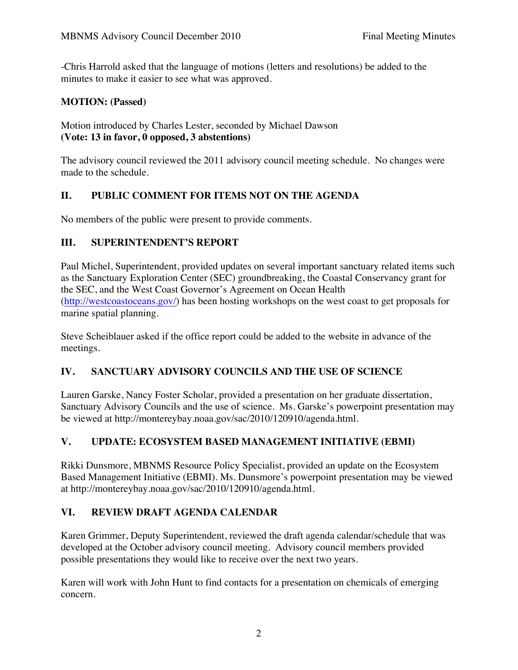-Chris Harrold asked that the language of motions (letters and resolutions) be added to the minutes to make it easier to see what was approved.

#### **MOTION: (Passed)**

Motion introduced by Charles Lester, seconded by Michael Dawson **(Vote: 13 in favor, 0 opposed, 3 abstentions)** 

The advisory council reviewed the 2011 advisory council meeting schedule. No changes were made to the schedule.

### **II. PUBLIC COMMENT FOR ITEMS NOT ON THE AGENDA**

No members of the public were present to provide comments.

#### **III. SUPERINTENDENT'S REPORT**

Paul Michel, Superintendent, provided updates on several important sanctuary related items such as the Sanctuary Exploration Center (SEC) groundbreaking, the Coastal Conservancy grant for the SEC, and the West Coast Governor's Agreement on Ocean Health (http://westcoastoceans.gov/) has been hosting workshops on the west coast to get proposals for marine spatial planning.

Steve Scheiblauer asked if the office report could be added to the website in advance of the meetings.

#### **IV. SANCTUARY ADVISORY COUNCILS AND THE USE OF SCIENCE**

Lauren Garske, Nancy Foster Scholar, provided a presentation on her graduate dissertation, Sanctuary Advisory Councils and the use of science. Ms. Garske's powerpoint presentation may be viewed at http://montereybay.noaa.gov/sac/2010/120910/agenda.html.

## **V. UPDATE: ECOSYSTEM BASED MANAGEMENT INITIATIVE (EBMI)**

Rikki Dunsmore, MBNMS Resource Policy Specialist, provided an update on the Ecosystem Based Management Initiative (EBMI). Ms. Dunsmore's powerpoint presentation may be viewed at http://montereybay.noaa.gov/sac/2010/120910/agenda.html.

#### **VI. REVIEW DRAFT AGENDA CALENDAR**

Karen Grimmer, Deputy Superintendent, reviewed the draft agenda calendar/schedule that was developed at the October advisory council meeting. Advisory council members provided possible presentations they would like to receive over the next two years.

Karen will work with John Hunt to find contacts for a presentation on chemicals of emerging concern.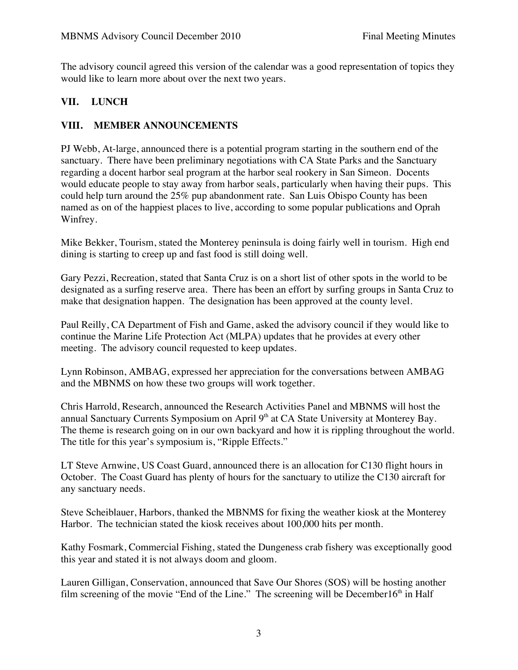The advisory council agreed this version of the calendar was a good representation of topics they would like to learn more about over the next two years.

## **VII. LUNCH**

### **VIII. MEMBER ANNOUNCEMENTS**

PJ Webb, At-large, announced there is a potential program starting in the southern end of the sanctuary. There have been preliminary negotiations with CA State Parks and the Sanctuary regarding a docent harbor seal program at the harbor seal rookery in San Simeon. Docents would educate people to stay away from harbor seals, particularly when having their pups. This could help turn around the 25% pup abandonment rate. San Luis Obispo County has been named as on of the happiest places to live, according to some popular publications and Oprah Winfrey.

Mike Bekker, Tourism, stated the Monterey peninsula is doing fairly well in tourism. High end dining is starting to creep up and fast food is still doing well.

Gary Pezzi, Recreation, stated that Santa Cruz is on a short list of other spots in the world to be designated as a surfing reserve area. There has been an effort by surfing groups in Santa Cruz to make that designation happen. The designation has been approved at the county level.

Paul Reilly, CA Department of Fish and Game, asked the advisory council if they would like to continue the Marine Life Protection Act (MLPA) updates that he provides at every other meeting. The advisory council requested to keep updates.

Lynn Robinson, AMBAG, expressed her appreciation for the conversations between AMBAG and the MBNMS on how these two groups will work together.

Chris Harrold, Research, announced the Research Activities Panel and MBNMS will host the annual Sanctuary Currents Symposium on April 9<sup>th</sup> at CA State University at Monterey Bay. The theme is research going on in our own backyard and how it is rippling throughout the world. The title for this year's symposium is, "Ripple Effects."

LT Steve Arnwine, US Coast Guard, announced there is an allocation for C130 flight hours in October. The Coast Guard has plenty of hours for the sanctuary to utilize the C130 aircraft for any sanctuary needs.

Steve Scheiblauer, Harbors, thanked the MBNMS for fixing the weather kiosk at the Monterey Harbor. The technician stated the kiosk receives about 100,000 hits per month.

Kathy Fosmark, Commercial Fishing, stated the Dungeness crab fishery was exceptionally good this year and stated it is not always doom and gloom.

Lauren Gilligan, Conservation, announced that Save Our Shores (SOS) will be hosting another film screening of the movie "End of the Line." The screening will be December16<sup>th</sup> in Half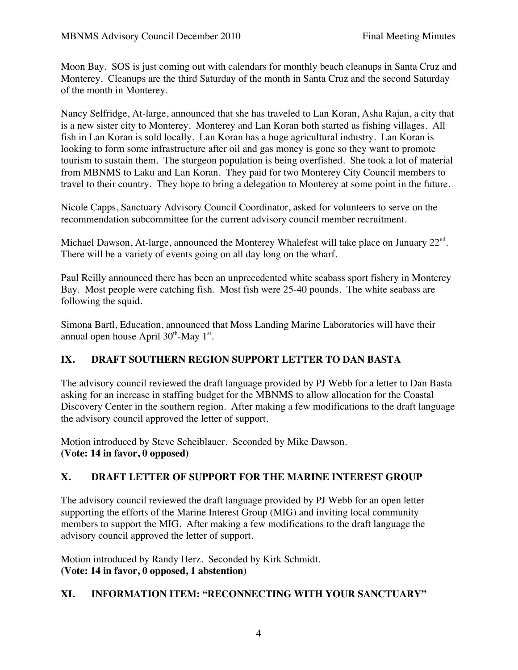Moon Bay. SOS is just coming out with calendars for monthly beach cleanups in Santa Cruz and Monterey. Cleanups are the third Saturday of the month in Santa Cruz and the second Saturday of the month in Monterey.

Nancy Selfridge, At-large, announced that she has traveled to Lan Koran, Asha Rajan, a city that is a new sister city to Monterey. Monterey and Lan Koran both started as fishing villages. All fish in Lan Koran is sold locally. Lan Koran has a huge agricultural industry. Lan Koran is looking to form some infrastructure after oil and gas money is gone so they want to promote tourism to sustain them. The sturgeon population is being overfished. She took a lot of material from MBNMS to Laku and Lan Koran. They paid for two Monterey City Council members to travel to their country. They hope to bring a delegation to Monterey at some point in the future.

Nicole Capps, Sanctuary Advisory Council Coordinator, asked for volunteers to serve on the recommendation subcommittee for the current advisory council member recruitment.

Michael Dawson, At-large, announced the Monterey Whalefest will take place on January 22<sup>nd</sup>. There will be a variety of events going on all day long on the wharf.

Paul Reilly announced there has been an unprecedented white seabass sport fishery in Monterey Bay. Most people were catching fish. Most fish were 25-40 pounds. The white seabass are following the squid.

Simona Bartl, Education, announced that Moss Landing Marine Laboratories will have their annual open house April  $30<sup>th</sup>$ -May 1<sup>st</sup>.

## **IX. DRAFT SOUTHERN REGION SUPPORT LETTER TO DAN BASTA**

The advisory council reviewed the draft language provided by PJ Webb for a letter to Dan Basta asking for an increase in staffing budget for the MBNMS to allow allocation for the Coastal Discovery Center in the southern region. After making a few modifications to the draft language the advisory council approved the letter of support.

Motion introduced by Steve Scheiblauer. Seconded by Mike Dawson. **(Vote: 14 in favor, 0 opposed)** 

#### **X. DRAFT LETTER OF SUPPORT FOR THE MARINE INTEREST GROUP**

The advisory council reviewed the draft language provided by PJ Webb for an open letter supporting the efforts of the Marine Interest Group (MIG) and inviting local community members to support the MIG. After making a few modifications to the draft language the advisory council approved the letter of support.

Motion introduced by Randy Herz. Seconded by Kirk Schmidt. **(Vote: 14 in favor, 0 opposed, 1 abstention)** 

#### **XI. INFORMATION ITEM: "RECONNECTING WITH YOUR SANCTUARY"**